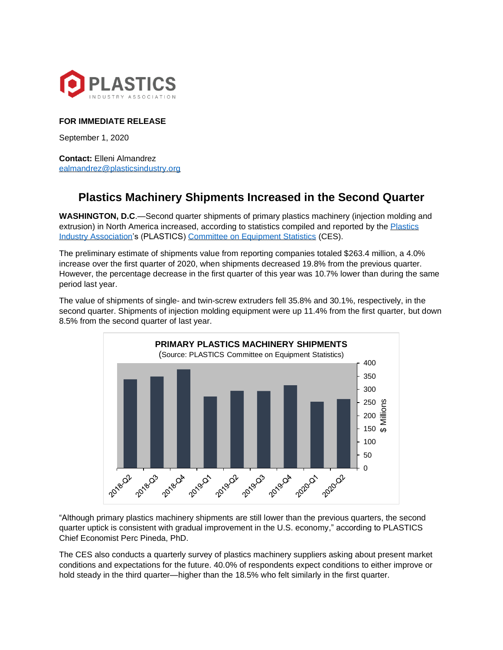

## **FOR IMMEDIATE RELEASE**

September 1, 2020

**Contact:** Elleni Almandrez [ealmandrez@plasticsindustry.org](mailto:ealmandrez@plasticsindustry.org)

## **Plastics Machinery Shipments Increased in the Second Quarter**

**WASHINGTON, D.C**.—Second quarter shipments of primary plastics machinery (injection molding and extrusion) in North America increased, according to statistics compiled and reported by the [Plastics](https://www.plasticsindustry.org/)  [Industry Association's](https://www.plasticsindustry.org/) (PLASTICS) [Committee on Equipment Statistics](https://www.plasticsindustry.org/supply-chain/equipment-suppliers-moldmakers/committee-equipment-statistics-ces) (CES).

The preliminary estimate of shipments value from reporting companies totaled \$263.4 million, a 4.0% increase over the first quarter of 2020, when shipments decreased 19.8% from the previous quarter. However, the percentage decrease in the first quarter of this year was 10.7% lower than during the same period last year.

The value of shipments of single- and twin-screw extruders fell 35.8% and 30.1%, respectively, in the second quarter. Shipments of injection molding equipment were up 11.4% from the first quarter, but down 8.5% from the second quarter of last year.



"Although primary plastics machinery shipments are still lower than the previous quarters, the second quarter uptick is consistent with gradual improvement in the U.S. economy," according to PLASTICS Chief Economist Perc Pineda, PhD.

The CES also conducts a quarterly survey of plastics machinery suppliers asking about present market conditions and expectations for the future. 40.0% of respondents expect conditions to either improve or hold steady in the third quarter—higher than the 18.5% who felt similarly in the first quarter.